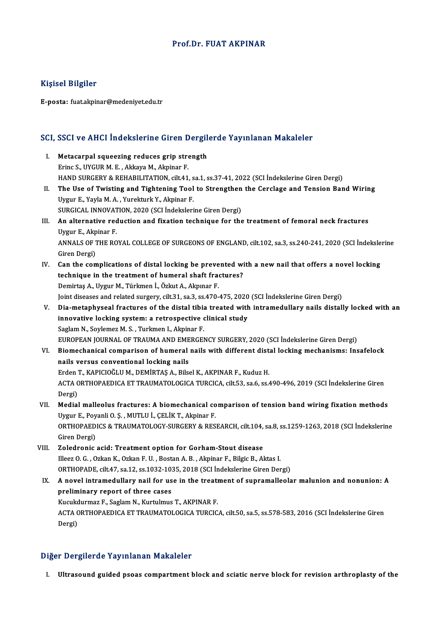## Prof.Dr. FUAT AKPINAR

## Kişisel Bilgiler

E-posta: fuat.akpinar@medeniyet.edu.tr

# .<br>SCI, SSCI ve AHCI İndekslerine Giren Dergilerde Yayınlanan Makaleler

- CI, SSCI ve AHCI İndekslerine Giren Dergil<br>I. Metacarpal squeezing reduces grip strength<br>Frinc S. UVCUR M.E. Akkaya M. Akpinar E. I. Metacarpal squeezing reduces grip strength<br>Erinc S., UYGUR M. E., Akkaya M., Akpinar F. HAND SURGERY & REHABILITATION, cilt.41, sa.1, ss.37-41, 2022 (SCI İndekslerine Giren Dergi) Erinc S., UYGUR M. E. , Akkaya M., Akpinar F.<br>HAND SURGERY & REHABILITATION, cilt.41, sa.1, ss.37-41, 2022 (SCI İndekslerine Giren Dergi)<br>II. The Use of Twisting and Tightening Tool to Strengthen the Cerclage and Tension B
- HAND SURGERY & REHABILITATION, cilt.41, s<br>The Use of Twisting and Tightening Tool<br>Uygur E., Yayla M. A. , Yurekturk Y., Akpinar F.<br>SURCICAL INNOVATION 2020 (SCL Indeksleri The Use of Twisting and Tightening Tool to Strengthen<br>Uygur E., Yayla M. A., Yurekturk Y., Akpinar F.<br>SURGICAL INNOVATION, 2020 (SCI İndekslerine Giren Dergi)<br>An alternative reduction and fivetion technique for the SURGICAL INNOVATION, 2020 (SCI İndekslerine Giren Dergi)
- Uygur E., Yayla M. A. , Yurekturk Y., Akpinar F.<br>SURGICAL INNOVATION, 2020 (SCI Indekslerine Giren Dergi)<br>III. An alternative reduction and fixation technique for the treatment of femoral neck fractures<br>Uygur E., Akpinar F An alternative reduction and fixation technique for the treatment of femoral neck fractures<br>Uygur E., Akpinar F.<br>ANNALS OF THE ROYAL COLLEGE OF SURGEONS OF ENGLAND, cilt.102, sa.3, ss.240-241, 2020 (SCI İndekslerine<br>Ciron Uygur E., Akp<br>ANNALS OF 1<br>Giren Dergi)<br>Can the com ANNALS OF THE ROYAL COLLEGE OF SURGEONS OF ENGLAND, cilt.102, sa.3, ss.240-241, 2020 (SCI Indeksle<br>Giren Dergi)<br>IV. Can the complications of distal locking be prevented with a new nail that offers a novel locking<br>tochnique
- Giren Dergi)<br>IV. Can the complications of distal locking be prevented with a new nail that offers a novel locking<br>technique in the treatment of humeral shaft fractures? DemirtaşA.,UygurM.,Türkmenİ.,ÖzkutA.,Akpınar F. technique in the treatment of humeral shaft fractures?<br>Demirtaş A., Uygur M., Türkmen İ., Özkut A., Akpınar F.<br>Joint diseases and related surgery, cilt.31, sa.3, ss.470-475, 2020 (SCI İndekslerine Giren Dergi)<br>Die metanbus

- Demirtaş A., Uygur M., Türkmen İ., Özkut A., Akpınar F.<br>Joint diseases and related surgery, cilt.31, sa.3, ss.470-475, 2020 (SCI İndekslerine Giren Dergi)<br>V. Dia-metaphyseal fractures of the distal tibia treated with i Joint diseases and related surgery, cilt.31, sa.3, ss.470-475, 2020<br>Dia-metaphyseal fractures of the distal tibia treated with<br>innovative locking system: a retrospective clinical study<br>Saglam N. Saylamaz M. S. Turkman L. A Dia-metaphyseal fractures of the distal tibia<br>innovative locking system: a retrospective of<br>Saglam N., Soylemez M. S. , Turkmen I., Akpinar F.<br>FUROPEAN JOURNAL OF TRAUMA AND EMERCEL innovative locking system: a retrospective clinical study<br>Saglam N., Soylemez M. S. , Turkmen I., Akpinar F.<br>EUROPEAN JOURNAL OF TRAUMA AND EMERGENCY SURGERY, 2020 (SCI İndekslerine Giren Dergi)<br>Biomechanical comparison of Saglam N., Soylemez M. S. , Turkmen I., Akpinar F.<br>EUROPEAN JOURNAL OF TRAUMA AND EMERGENCY SURGERY, 2020 (SCI İndekslerine Giren Dergi)<br>VI. Biomechanical comparison of humeral nails with different distal locking mechanism
- EUROPEAN JOURNAL OF TRAUMA AND EME<br>Biomechanical comparison of humeral<br>nails versus conventional locking nails<br>Erden T. KABICIOČLUM, DEMIPTAS A. Bile Biomechanical comparison of humeral nails with different dist<br>nails versus conventional locking nails<br>Erden T., KAPICIOĞLU M., DEMİRTAŞ A., Bilsel K., AKPINAR F., Kuduz H.<br>ACTA OPTHORAEDICA ET TRAUMATOLOCICA TURCICA gilt 5

nails versus conventional locking nails<br>Erden T., KAPICIOĞLU M., DEMİRTAŞ A., Bilsel K., AKPINAR F., Kuduz H.<br>ACTA ORTHOPAEDICA ET TRAUMATOLOGICA TURCICA, cilt.53, sa.6, ss.490-496, 2019 (SCI İndekslerine Giren<br>Persi) Erden<br>ACTA C<br>Dergi)<br>Medial ACTA ORTHOPAEDICA ET TRAUMATOLOGICA TURCICA, cilt.53, sa.6, ss.490-496, 2019 (SCI İndekslerine Giren<br>Dergi)<br>VII. Medial malleolus fractures: A biomechanical comparison of tension band wiring fixation methods<br>Uvgur F. Bovon

- Dergi)<br>Medial malleolus fractures: A biomechanical co<br>Uygur E., Poyanli O. Ş. , MUTLU İ., ÇELİK T., Akpinar F.<br>OPTHOPAEDICS & TRAJIMATOLOCY SURCERY & RES Medial malleolus fractures: A biomechanical comparison of tension band wiring fixation methods<br>Uygur E., Poyanli O. S. , MUTLU İ., ÇELİK T., Akpinar F.<br>ORTHOPAEDICS & TRAUMATOLOGY-SURGERY & RESEARCH, cilt.104, sa.8, ss.125 Uygur E., Poyanli O. Ş. , MUTLU İ., ÇELİK T., Akpinar F.<br>ORTHOPAEDICS & TRAUMATOLOGY-SURGERY & RESEARCH, cilt.104, sa.8, ss.1259-1263, 2018 (SCI İndekslerine<br>Giren Dergi)
- VIII. Zoledronic acid: Treatment option for Gorham-Stout disease Giren Dergi)<br>Zoledronic acid: Treatment option for Gorham-Stout disease<br>Illeez O. G. , Ozkan K., Ozkan F. U. , Bostan A. B. , Akpinar F., Bilgic B., Aktas I.<br>OPTHOPADE silt 47, 89.12, 89.1922, 1925, 2919 (SCL Indekalerine Zoledronic acid: Treatment option for Gorham-Stout disease<br>Illeez O. G. , Ozkan K., Ozkan F. U. , Bostan A. B. , Akpinar F., Bilgic B., Aktas I.<br>ORTHOPADE, cilt.47, sa.12, ss.1032-1035, 2018 (SCI İndekslerine Giren Dergi)<br> Illeez O. G. , Ozkan K., Ozkan F. U. , Bostan A. B. , Akpinar F., Bilgic B., Aktas I.<br>ORTHOPADE, cilt.47, sa.12, ss.1032-1035, 2018 (SCI Indekslerine Giren Dergi)<br>IX. A novel intramedullary nail for use in the treatment of
	- ORTHOPADE, cilt47, sa.12, ss.1032-1035, 2018 (SCI Indekslerine Giren Dergi)<br>A novel intramedullary nail for use in the treatment of supramalleol:<br>preliminary report of three cases A novel intramedullary nail for use in the treat<br>preliminary report of three cases<br>Kucukdurmaz F., Saglam N., Kurtulmus T., AKPINAR F.<br>ACTA OPTHORAEDICA ET TRAUMATOLOCICA TURCIC ACTA ORTHOPAEDICA ET TRAUMATOLOGICA TURCICA, cilt.50, sa.5, ss.578-583, 2016 (SCI İndekslerine Giren<br>Dergi) Kucukdurmaz F., Saglam N., Kurtulmus T., AKPINAR F.

#### Diğer Dergilerde Yayınlanan Makaleler

I. Ultrasound guided psoas compartment block and sciatic nerve block for revision arthroplasty of the